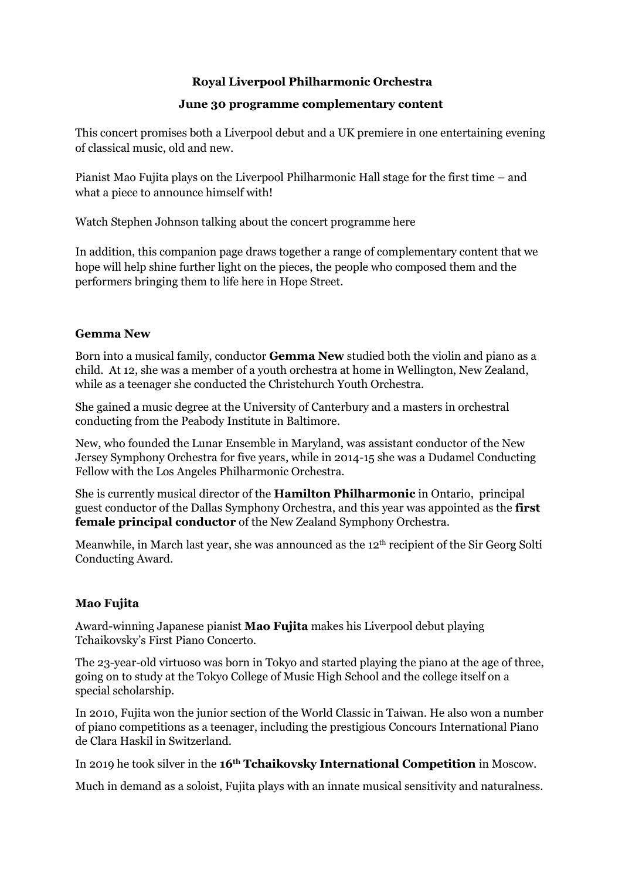# **Royal Liverpool Philharmonic Orchestra**

#### **June 30 programme complementary content**

This concert promises both a Liverpool debut and a UK premiere in one entertaining evening of classical music, old and new.

Pianist Mao Fujita plays on the Liverpool Philharmonic Hall stage for the first time – and what a piece to announce himself with!

Watch Stephen Johnson talking about the concert programme here

In addition, this companion page draws together a range of complementary content that we hope will help shine further light on the pieces, the people who composed them and the performers bringing them to life here in Hope Street.

#### **Gemma New**

Born into a musical family, conductor **Gemma New** studied both the violin and piano as a child. At 12, she was a member of a youth orchestra at home in Wellington, New Zealand, while as a teenager she conducted the Christchurch Youth Orchestra.

She gained a music degree at the University of Canterbury and a masters in orchestral conducting from the Peabody Institute in Baltimore.

New, who founded the Lunar Ensemble in Maryland, was assistant conductor of the New Jersey Symphony Orchestra for five years, while in 2014-15 she was a Dudamel Conducting Fellow with the Los Angeles Philharmonic Orchestra.

She is currently musical director of the **Hamilton Philharmonic** in Ontario, principal guest conductor of the Dallas Symphony Orchestra, and this year was appointed as the **first female principal conductor** of the New Zealand Symphony Orchestra.

Meanwhile, in March last year, she was announced as the 12th recipient of the Sir Georg Solti Conducting Award.

# **Mao Fujita**

Award-winning Japanese pianist **Mao Fujita** makes his Liverpool debut playing Tchaikovsky's First Piano Concerto.

The 23-year-old virtuoso was born in Tokyo and started playing the piano at the age of three, going on to study at the Tokyo College of Music High School and the college itself on a special scholarship.

In 2010, Fujita won the junior section of the World Classic in Taiwan. He also won a number of piano competitions as a teenager, including the prestigious Concours International Piano de Clara Haskil in Switzerland.

In 2019 he took silver in the **16th Tchaikovsky International Competition** in Moscow.

Much in demand as a soloist, Fujita plays with an innate musical sensitivity and naturalness.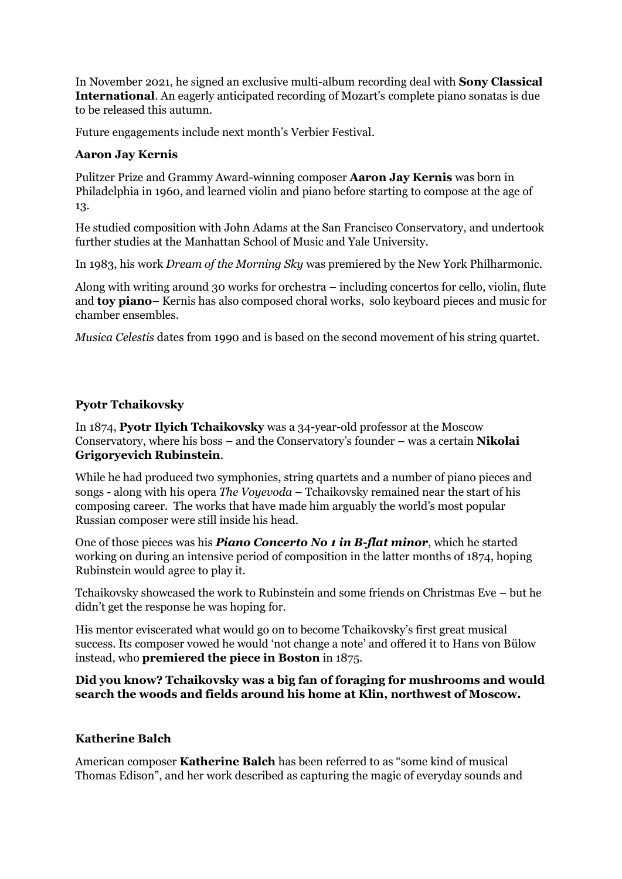In November 2021, he signed an exclusive multi-album recording deal with **Sony Classical International**. An eagerly anticipated recording of Mozart's complete piano sonatas is due to be released this autumn.

Future engagements include next month's Verbier Festival.

# **Aaron Jay Kernis**

Pulitzer Prize and Grammy Award-winning composer **Aaron Jay Kernis** was born in Philadelphia in 1960, and learned violin and piano before starting to compose at the age of 13.

He studied composition with John Adams at the San Francisco Conservatory, and undertook further studies at the Manhattan School of Music and Yale University.

In 1983, his work *Dream of the Morning Sky* was premiered by the New York Philharmonic.

Along with writing around 30 works for orchestra – including concertos for cello, violin, flute and **toy piano**– Kernis has also composed choral works, solo keyboard pieces and music for chamber ensembles.

*Musica Celestis* dates from 1990 and is based on the second movement of his string quartet.

# **Pyotr Tchaikovsky**

In 1874, **Pyotr Ilyich Tchaikovsky** was a 34-year-old professor at the Moscow Conservatory, where his boss – and the Conservatory's founder – was a certain **Nikolai Grigoryevich Rubinstein**.

While he had produced two symphonies, string quartets and a number of piano pieces and songs - along with his opera *The Voyevoda* – Tchaikovsky remained near the start of his composing career. The works that have made him arguably the world's most popular Russian composer were still inside his head.

One of those pieces was his *Piano Concerto No 1 in B-flat minor*, which he started working on during an intensive period of composition in the latter months of 1874, hoping Rubinstein would agree to play it.

Tchaikovsky showcased the work to Rubinstein and some friends on Christmas Eve – but he didn't get the response he was hoping for.

His mentor eviscerated what would go on to become Tchaikovsky's first great musical success. Its composer vowed he would 'not change a note' and offered it to Hans von Bülow instead, who **premiered the piece in Boston** in 1875.

# **Did you know? Tchaikovsky was a big fan of foraging for mushrooms and would search the woods and fields around his home at Klin, northwest of Moscow.**

# **Katherine Balch**

American composer **Katherine Balch** has been referred to as "some kind of musical Thomas Edison", and her work described as capturing the magic of everyday sounds and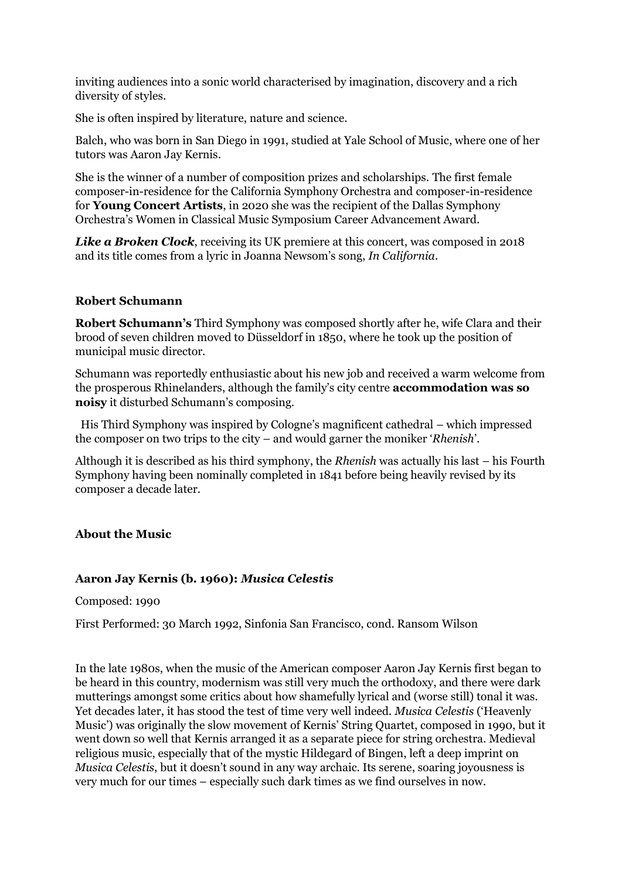inviting audiences into a sonic world characterised by imagination, discovery and a rich diversity of styles.

She is often inspired by literature, nature and science.

Balch, who was born in San Diego in 1991, studied at Yale School of Music, where one of her tutors was Aaron Jay Kernis.

She is the winner of a number of composition prizes and scholarships. The first female composer-in-residence for the California Symphony Orchestra and composer-in-residence for **Young Concert Artists**, in 2020 she was the recipient of the Dallas Symphony Orchestra's Women in Classical Music Symposium Career Advancement Award.

**Like a Broken Clock**, receiving its UK premiere at this concert, was composed in 2018 and its title comes from a lyric in Joanna Newsom's song, *In California*.

#### **Robert Schumann**

**Robert Schumann's** Third Symphony was composed shortly after he, wife Clara and their brood of seven children moved to Düsseldorf in 1850, where he took up the position of municipal music director.

Schumann was reportedly enthusiastic about his new job and received a warm welcome from the prosperous Rhinelanders, although the family's city centre **accommodation was so noisy** it disturbed Schumann's composing.

His Third Symphony was inspired by Cologne's magnificent cathedral – which impressed the composer on two trips to the city – and would garner the moniker '*Rhenish*'.

Although it is described as his third symphony, the *Rhenish* was actually his last – his Fourth Symphony having been nominally completed in 1841 before being heavily revised by its composer a decade later.

#### **About the Music**

#### **Aaron Jay Kernis (b. 1960):** *Musica Celestis*

Composed: 1990

First Performed: 30 March 1992, Sinfonia San Francisco, cond. Ransom Wilson

In the late 1980s, when the music of the American composer Aaron Jay Kernis first began to be heard in this country, modernism was still very much the orthodoxy, and there were dark mutterings amongst some critics about how shamefully lyrical and (worse still) tonal it was. Yet decades later, it has stood the test of time very well indeed. *Musica Celestis* ('Heavenly Music') was originally the slow movement of Kernis' String Quartet, composed in 1990, but it went down so well that Kernis arranged it as a separate piece for string orchestra. Medieval religious music, especially that of the mystic Hildegard of Bingen, left a deep imprint on *Musica Celestis*, but it doesn't sound in any way archaic. Its serene, soaring joyousness is very much for our times – especially such dark times as we find ourselves in now.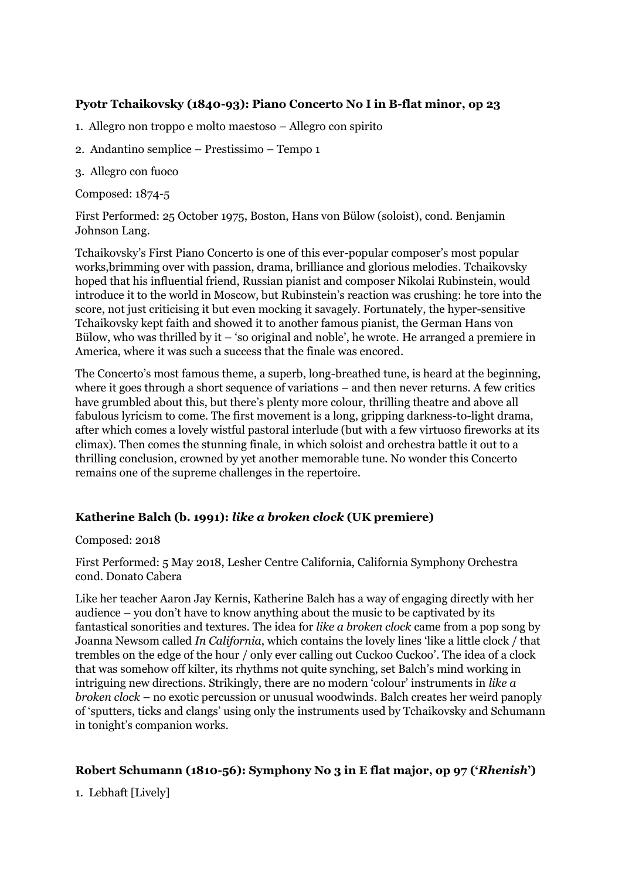# **Pyotr Tchaikovsky (1840-93): Piano Concerto No I in B-flat minor, op 23**

- 1. Allegro non troppo e molto maestoso Allegro con spirito
- 2. Andantino semplice Prestissimo Tempo 1
- 3. Allegro con fuoco

Composed: 1874-5

First Performed: 25 October 1975, Boston, Hans von Bülow (soloist), cond. Benjamin Johnson Lang.

Tchaikovsky's First Piano Concerto is one of this ever-popular composer's most popular works,brimming over with passion, drama, brilliance and glorious melodies. Tchaikovsky hoped that his influential friend, Russian pianist and composer Nikolai Rubinstein, would introduce it to the world in Moscow, but Rubinstein's reaction was crushing: he tore into the score, not just criticising it but even mocking it savagely. Fortunately, the hyper-sensitive Tchaikovsky kept faith and showed it to another famous pianist, the German Hans von Bülow, who was thrilled by it – 'so original and noble', he wrote. He arranged a premiere in America, where it was such a success that the finale was encored.

The Concerto's most famous theme, a superb, long-breathed tune, is heard at the beginning, where it goes through a short sequence of variations – and then never returns. A few critics have grumbled about this, but there's plenty more colour, thrilling theatre and above all fabulous lyricism to come. The first movement is a long, gripping darkness-to-light drama, after which comes a lovely wistful pastoral interlude (but with a few virtuoso fireworks at its climax). Then comes the stunning finale, in which soloist and orchestra battle it out to a thrilling conclusion, crowned by yet another memorable tune. No wonder this Concerto remains one of the supreme challenges in the repertoire.

#### **Katherine Balch (b. 1991):** *like a broken clock* **(UK premiere)**

Composed: 2018

First Performed: 5 May 2018, Lesher Centre California, California Symphony Orchestra cond. Donato Cabera

Like her teacher Aaron Jay Kernis, Katherine Balch has a way of engaging directly with her audience – you don't have to know anything about the music to be captivated by its fantastical sonorities and textures. The idea for *like a broken clock* came from a pop song by Joanna Newsom called *In California*, which contains the lovely lines 'like a little clock / that trembles on the edge of the hour / only ever calling out Cuckoo Cuckoo'. The idea of a clock that was somehow off kilter, its rhythms not quite synching, set Balch's mind working in intriguing new directions. Strikingly, there are no modern 'colour' instruments in *like a broken clock* – no exotic percussion or unusual woodwinds. Balch creates her weird panoply of 'sputters, ticks and clangs' using only the instruments used by Tchaikovsky and Schumann in tonight's companion works.

#### **Robert Schumann (1810-56): Symphony No 3 in E flat major, op 97 ('***Rhenish***')**

1. Lebhaft [Lively]